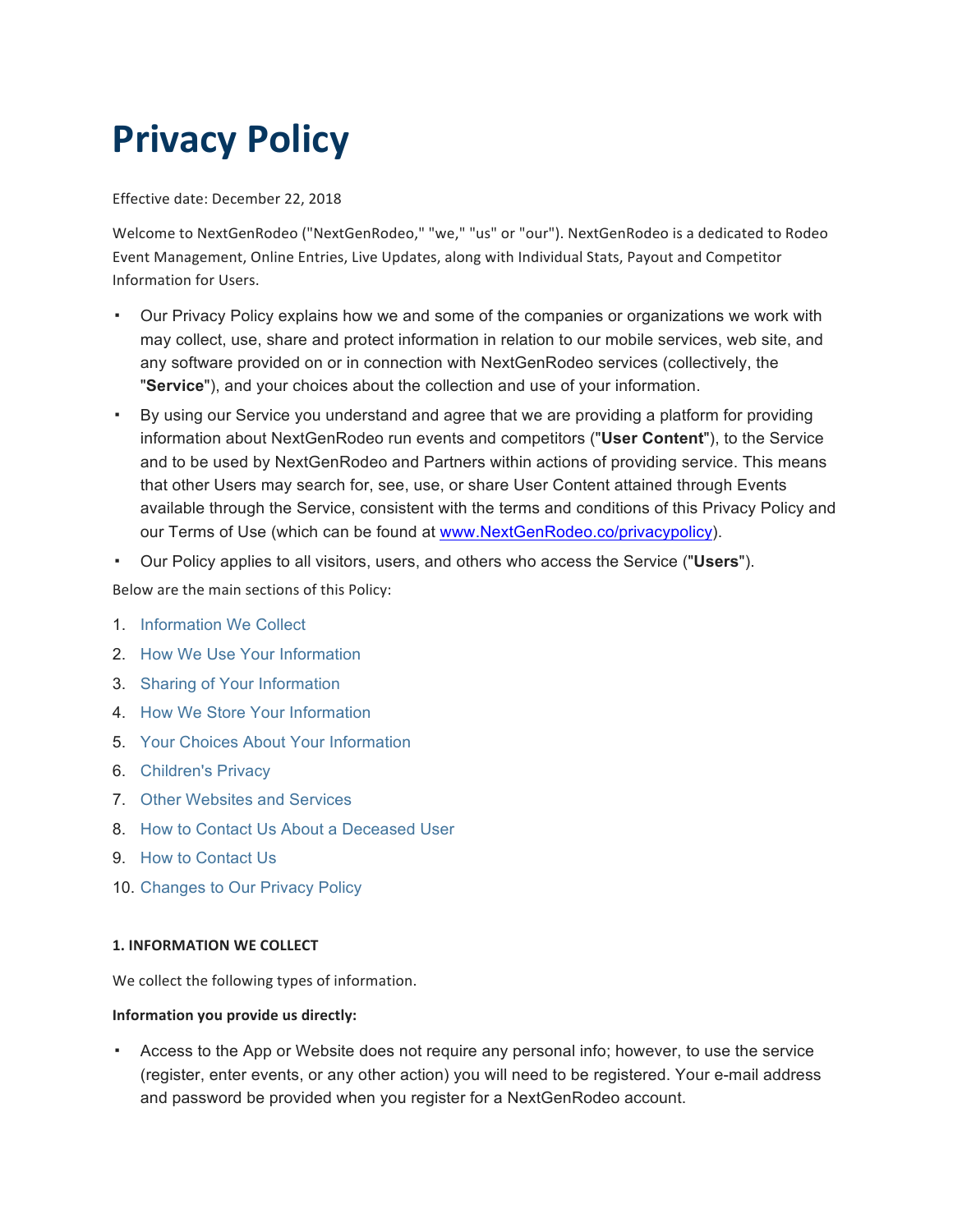# **Privacy Policy**

Effective date: December 22, 2018

Welcome to NextGenRodeo ("NextGenRodeo," "we," "us" or "our"). NextGenRodeo is a dedicated to Rodeo Event Management, Online Entries, Live Updates, along with Individual Stats, Payout and Competitor Information for Users.

- Our Privacy Policy explains how we and some of the companies or organizations we work with may collect, use, share and protect information in relation to our mobile services, web site, and any software provided on or in connection with NextGenRodeo services (collectively, the "**Service**"), and your choices about the collection and use of your information.
- By using our Service you understand and agree that we are providing a platform for providing information about NextGenRodeo run events and competitors ("**User Content**"), to the Service and to be used by NextGenRodeo and Partners within actions of providing service. This means that other Users may search for, see, use, or share User Content attained through Events available through the Service, consistent with the terms and conditions of this Privacy Policy and our Terms of Use (which can be found at www.NextGenRodeo.co/privacypolicy).
- Our Policy applies to all visitors, users, and others who access the Service ("**Users**").

Below are the main sections of this Policy:

- 1. Information We Collect
- 2. How We Use Your Information
- 3. Sharing of Your Information
- 4. How We Store Your Information
- 5. Your Choices About Your Information
- 6. Children's Privacy
- 7. Other Websites and Services
- 8. How to Contact Us About a Deceased User
- 9. How to Contact Us
- 10. Changes to Our Privacy Policy

# **1. INFORMATION WE COLLECT**

We collect the following types of information.

#### **Information you provide us directly:**

▪ Access to the App or Website does not require any personal info; however, to use the service (register, enter events, or any other action) you will need to be registered. Your e-mail address and password be provided when you register for a NextGenRodeo account.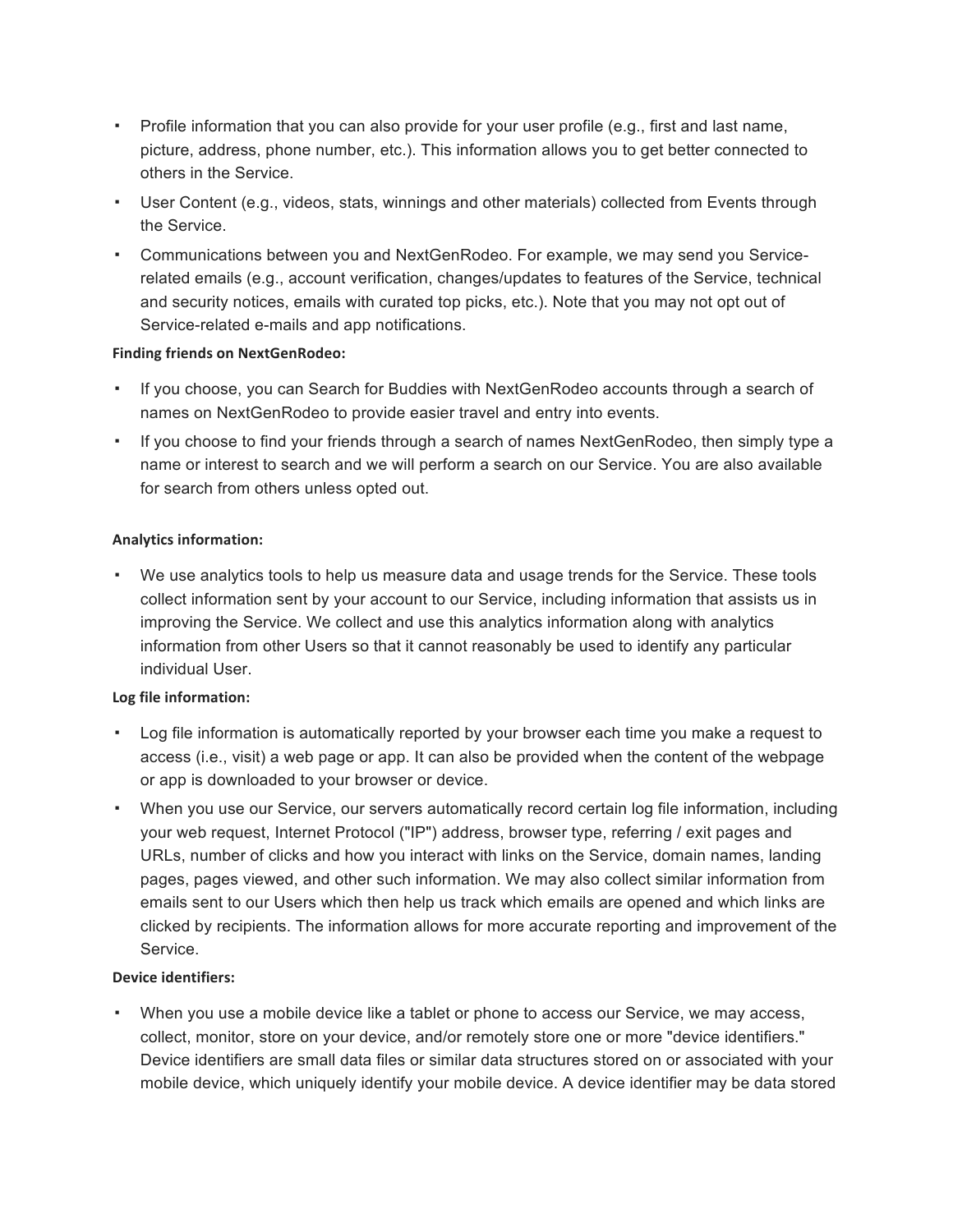- Profile information that you can also provide for your user profile (e.g., first and last name, picture, address, phone number, etc.). This information allows you to get better connected to others in the Service.
- User Content (e.g., videos, stats, winnings and other materials) collected from Events through the Service.
- Communications between you and NextGenRodeo. For example, we may send you Servicerelated emails (e.g., account verification, changes/updates to features of the Service, technical and security notices, emails with curated top picks, etc.). Note that you may not opt out of Service-related e-mails and app notifications.

### **Finding friends on NextGenRodeo:**

- If you choose, you can Search for Buddies with NextGenRodeo accounts through a search of names on NextGenRodeo to provide easier travel and entry into events.
- If you choose to find your friends through a search of names NextGenRodeo, then simply type a name or interest to search and we will perform a search on our Service. You are also available for search from others unless opted out.

# **Analytics information:**

▪ We use analytics tools to help us measure data and usage trends for the Service. These tools collect information sent by your account to our Service, including information that assists us in improving the Service. We collect and use this analytics information along with analytics information from other Users so that it cannot reasonably be used to identify any particular individual User.

# **Log file information:**

- Log file information is automatically reported by your browser each time you make a request to access (i.e., visit) a web page or app. It can also be provided when the content of the webpage or app is downloaded to your browser or device.
- When you use our Service, our servers automatically record certain log file information, including your web request, Internet Protocol ("IP") address, browser type, referring / exit pages and URLs, number of clicks and how you interact with links on the Service, domain names, landing pages, pages viewed, and other such information. We may also collect similar information from emails sent to our Users which then help us track which emails are opened and which links are clicked by recipients. The information allows for more accurate reporting and improvement of the Service.

#### **Device identifiers:**

▪ When you use a mobile device like a tablet or phone to access our Service, we may access, collect, monitor, store on your device, and/or remotely store one or more "device identifiers." Device identifiers are small data files or similar data structures stored on or associated with your mobile device, which uniquely identify your mobile device. A device identifier may be data stored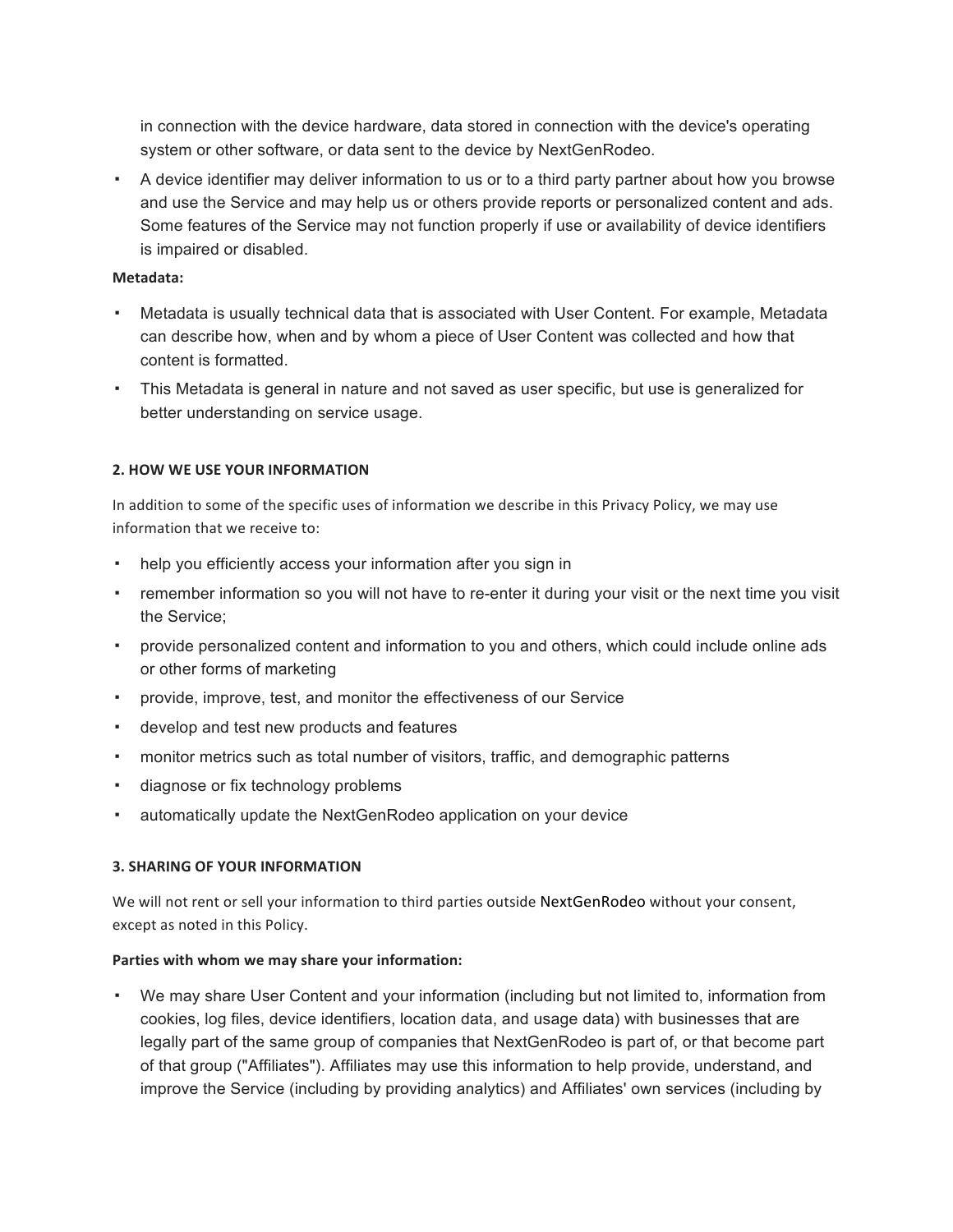in connection with the device hardware, data stored in connection with the device's operating system or other software, or data sent to the device by NextGenRodeo.

▪ A device identifier may deliver information to us or to a third party partner about how you browse and use the Service and may help us or others provide reports or personalized content and ads. Some features of the Service may not function properly if use or availability of device identifiers is impaired or disabled.

#### **Metadata:**

- Metadata is usually technical data that is associated with User Content. For example, Metadata can describe how, when and by whom a piece of User Content was collected and how that content is formatted.
- This Metadata is general in nature and not saved as user specific, but use is generalized for better understanding on service usage.

# **2. HOW WE USE YOUR INFORMATION**

In addition to some of the specific uses of information we describe in this Privacy Policy, we may use information that we receive to:

- help you efficiently access your information after you sign in
- remember information so you will not have to re-enter it during your visit or the next time you visit the Service;
- provide personalized content and information to you and others, which could include online ads or other forms of marketing
- provide, improve, test, and monitor the effectiveness of our Service
- develop and test new products and features
- monitor metrics such as total number of visitors, traffic, and demographic patterns
- diagnose or fix technology problems
- automatically update the NextGenRodeo application on your device

# **3. SHARING OF YOUR INFORMATION**

We will not rent or sell your information to third parties outside NextGenRodeo without your consent, except as noted in this Policy.

#### **Parties with whom we may share your information:**

▪ We may share User Content and your information (including but not limited to, information from cookies, log files, device identifiers, location data, and usage data) with businesses that are legally part of the same group of companies that NextGenRodeo is part of, or that become part of that group ("Affiliates"). Affiliates may use this information to help provide, understand, and improve the Service (including by providing analytics) and Affiliates' own services (including by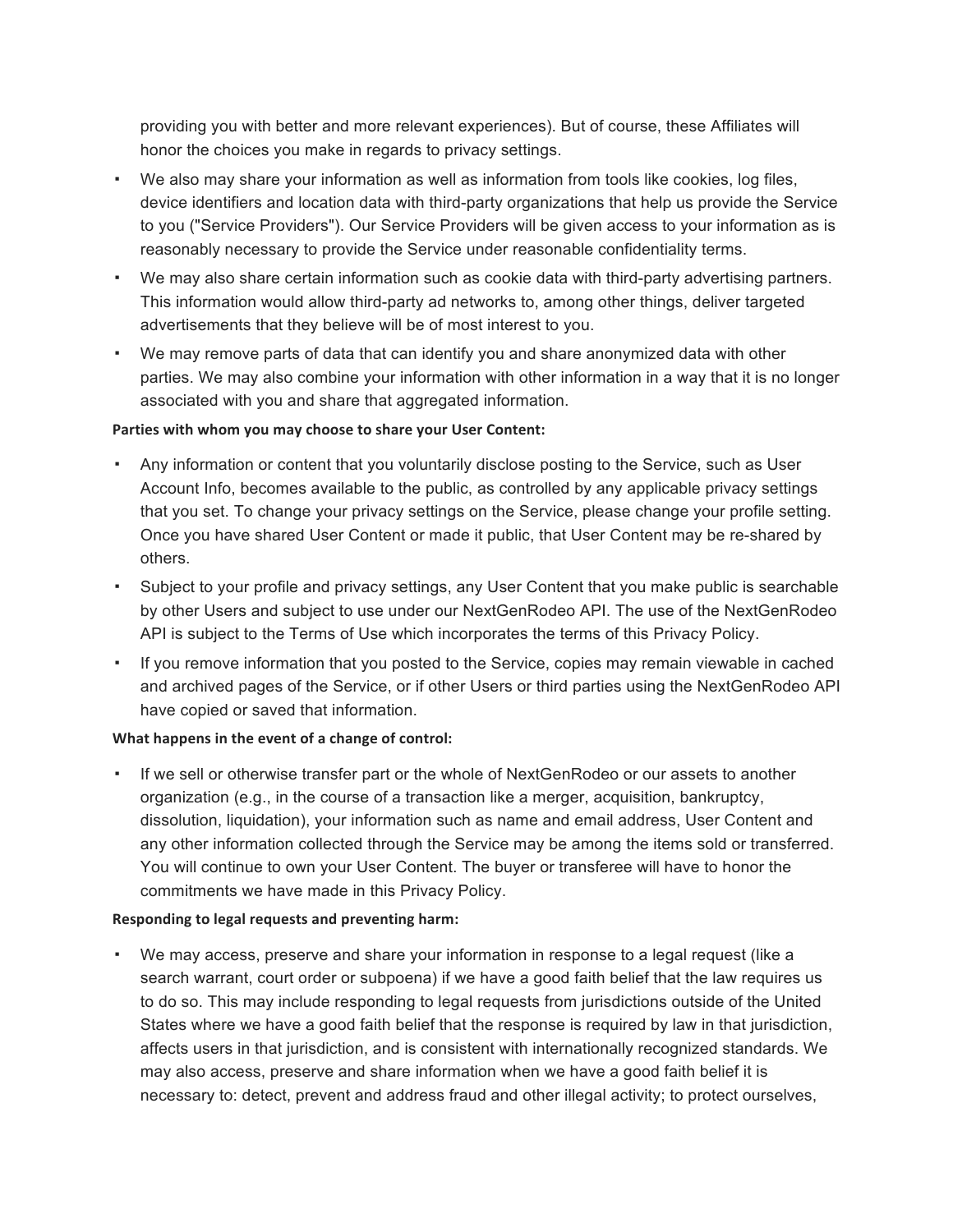providing you with better and more relevant experiences). But of course, these Affiliates will honor the choices you make in regards to privacy settings.

- We also may share your information as well as information from tools like cookies, log files, device identifiers and location data with third-party organizations that help us provide the Service to you ("Service Providers"). Our Service Providers will be given access to your information as is reasonably necessary to provide the Service under reasonable confidentiality terms.
- We may also share certain information such as cookie data with third-party advertising partners. This information would allow third-party ad networks to, among other things, deliver targeted advertisements that they believe will be of most interest to you.
- We may remove parts of data that can identify you and share anonymized data with other parties. We may also combine your information with other information in a way that it is no longer associated with you and share that aggregated information.

### **Parties with whom you may choose to share your User Content:**

- Any information or content that you voluntarily disclose posting to the Service, such as User Account Info, becomes available to the public, as controlled by any applicable privacy settings that you set. To change your privacy settings on the Service, please change your profile setting. Once you have shared User Content or made it public, that User Content may be re-shared by others.
- Subject to your profile and privacy settings, any User Content that you make public is searchable by other Users and subject to use under our NextGenRodeo API. The use of the NextGenRodeo API is subject to the Terms of Use which incorporates the terms of this Privacy Policy.
- If you remove information that you posted to the Service, copies may remain viewable in cached and archived pages of the Service, or if other Users or third parties using the NextGenRodeo API have copied or saved that information.

# **What happens in the event of a change of control:**

If we sell or otherwise transfer part or the whole of NextGenRodeo or our assets to another organization (e.g., in the course of a transaction like a merger, acquisition, bankruptcy, dissolution, liquidation), your information such as name and email address, User Content and any other information collected through the Service may be among the items sold or transferred. You will continue to own your User Content. The buyer or transferee will have to honor the commitments we have made in this Privacy Policy.

# **Responding to legal requests and preventing harm:**

▪ We may access, preserve and share your information in response to a legal request (like a search warrant, court order or subpoena) if we have a good faith belief that the law requires us to do so. This may include responding to legal requests from jurisdictions outside of the United States where we have a good faith belief that the response is required by law in that jurisdiction, affects users in that jurisdiction, and is consistent with internationally recognized standards. We may also access, preserve and share information when we have a good faith belief it is necessary to: detect, prevent and address fraud and other illegal activity; to protect ourselves,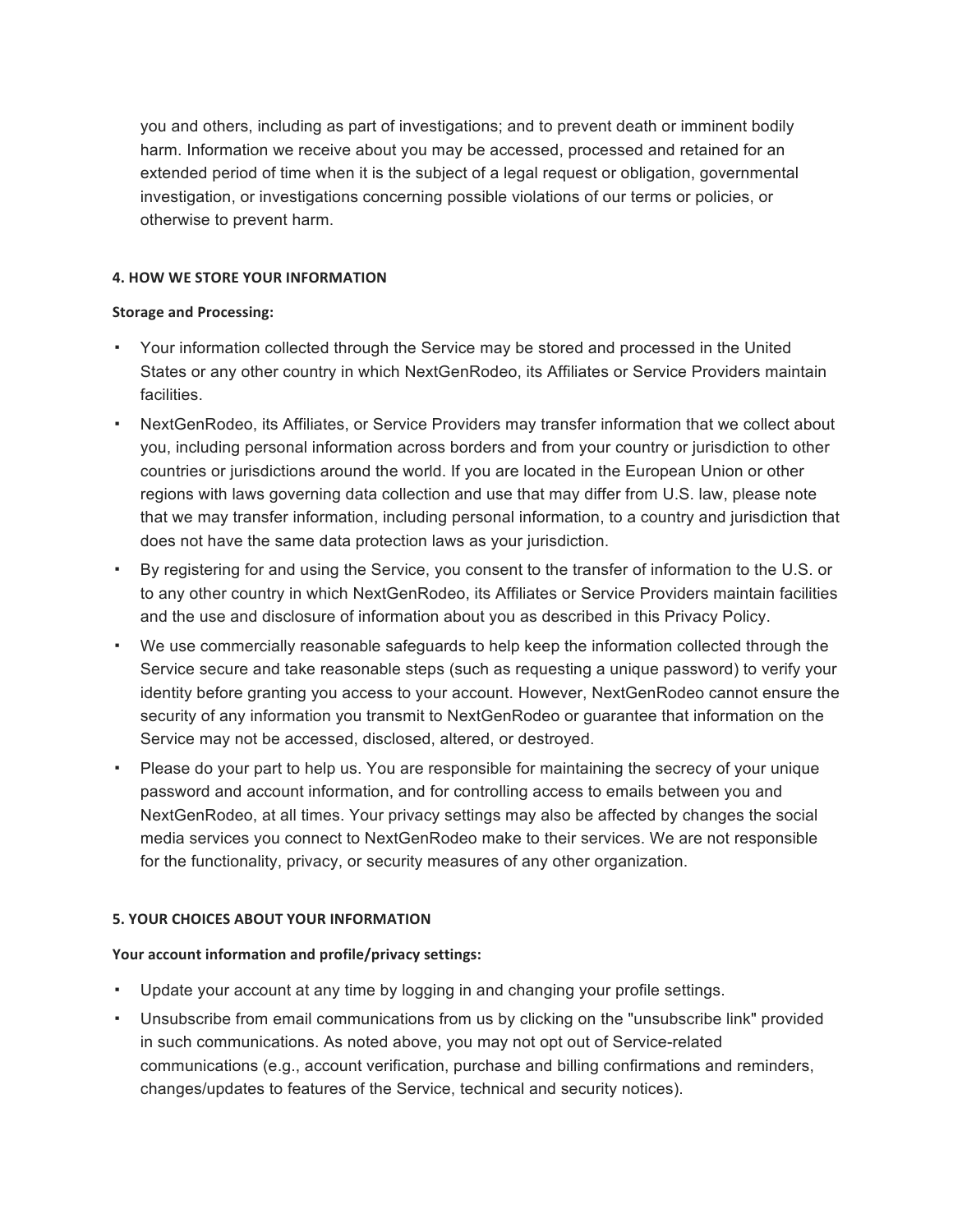you and others, including as part of investigations; and to prevent death or imminent bodily harm. Information we receive about you may be accessed, processed and retained for an extended period of time when it is the subject of a legal request or obligation, governmental investigation, or investigations concerning possible violations of our terms or policies, or otherwise to prevent harm.

# **4. HOW WE STORE YOUR INFORMATION**

# **Storage and Processing:**

- Your information collected through the Service may be stored and processed in the United States or any other country in which NextGenRodeo, its Affiliates or Service Providers maintain facilities.
- NextGenRodeo, its Affiliates, or Service Providers may transfer information that we collect about you, including personal information across borders and from your country or jurisdiction to other countries or jurisdictions around the world. If you are located in the European Union or other regions with laws governing data collection and use that may differ from U.S. law, please note that we may transfer information, including personal information, to a country and jurisdiction that does not have the same data protection laws as your jurisdiction.
- By registering for and using the Service, you consent to the transfer of information to the U.S. or to any other country in which NextGenRodeo, its Affiliates or Service Providers maintain facilities and the use and disclosure of information about you as described in this Privacy Policy.
- We use commercially reasonable safeguards to help keep the information collected through the Service secure and take reasonable steps (such as requesting a unique password) to verify your identity before granting you access to your account. However, NextGenRodeo cannot ensure the security of any information you transmit to NextGenRodeo or guarantee that information on the Service may not be accessed, disclosed, altered, or destroyed.
- Please do your part to help us. You are responsible for maintaining the secrecy of your unique password and account information, and for controlling access to emails between you and NextGenRodeo, at all times. Your privacy settings may also be affected by changes the social media services you connect to NextGenRodeo make to their services. We are not responsible for the functionality, privacy, or security measures of any other organization.

# **5. YOUR CHOICES ABOUT YOUR INFORMATION**

# **Your account information and profile/privacy settings:**

- Update your account at any time by logging in and changing your profile settings.
- Unsubscribe from email communications from us by clicking on the "unsubscribe link" provided in such communications. As noted above, you may not opt out of Service-related communications (e.g., account verification, purchase and billing confirmations and reminders, changes/updates to features of the Service, technical and security notices).